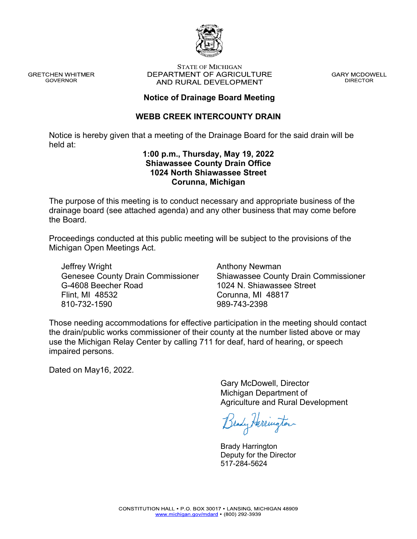

**GRETCHEN WHITMER GOVERNOR** 

#### **STATE OF MICHIGAN** DEPARTMENT OF AGRICULTURE AND RURAL DEVELOPMENT

**GARY MCDOWELL DIRECTOR** 

#### **Notice of Drainage Board Meeting**

#### **WEBB CREEK INTERCOUNTY DRAIN**

Notice is hereby given that a meeting of the Drainage Board for the said drain will be held at:

#### **1:00 p.m., Thursday, May 19, 2022 Shiawassee County Drain Office 1024 North Shiawassee Street Corunna, Michigan**

The purpose of this meeting is to conduct necessary and appropriate business of the drainage board (see attached agenda) and any other business that may come before the Board.

Proceedings conducted at this public meeting will be subject to the provisions of the Michigan Open Meetings Act.

Jeffrey Wright Genesee County Drain Commissioner G-4608 Beecher Road Flint, MI 48532 810-732-1590

Anthony Newman Shiawassee County Drain Commissioner 1024 N. Shiawassee Street Corunna, MI 48817 989-743-2398

Those needing accommodations for effective participation in the meeting should contact the drain/public works commissioner of their county at the number listed above or may use the Michigan Relay Center by calling 711 for deaf, hard of hearing, or speech impaired persons.

Dated on May16, 2022.

Gary McDowell, Director Michigan Department of Agriculture and Rural Development

Brady Herrington

Brady Harrington Deputy for the Director 517-284-5624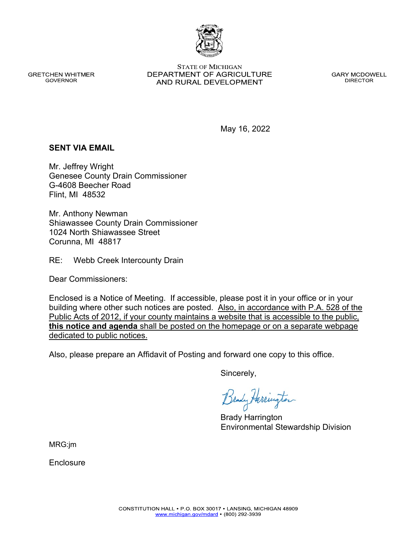CONSTITUTION HALL . P.O. BOX 30017 . LANSING, MICHIGAN 48909 www.michigan.gov/mdard • (800) 292-3939

Enclosure

Enclosed is a Notice of Meeting. If accessible, please post it in your office or in your building where other such notices are posted. Also, in accordance with P.A. 528 of the Public Acts of 2012, if your county maintains a website that is accessible to the public, **this notice and agenda** shall be posted on the homepage or on a separate webpage dedicated to public notices.

Also, please prepare an Affidavit of Posting and forward one copy to this office.

Sincerely,

Brady Harrington

Environmental Stewardship Division

May 16, 2022

### **SENT VIA EMAIL**

Mr. Jeffrey Wright Genesee County Drain Commissioner G-4608 Beecher Road Flint, MI 48532

Mr. Anthony Newman Shiawassee County Drain Commissioner 1024 North Shiawassee Street Corunna, MI 48817

RE: Webb Creek Intercounty Drain

Dear Commissioners:

**GOVERNOR** 

**GRETCHEN WHITMER** 

**STATE OF MICHIGAN** DEPARTMENT OF AGRICULTURE AND RURAL DEVELOPMENT

**GARY MCDOWELL DIRECTOR** 

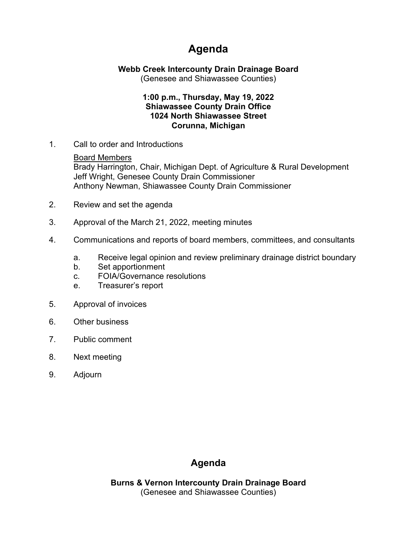# **Agenda**

**Webb Creek Intercounty Drain Drainage Board**

(Genesee and Shiawassee Counties)

#### **1:00 p.m., Thursday, May 19, 2022 Shiawassee County Drain Office 1024 North Shiawassee Street Corunna, Michigan**

1. Call to order and Introductions

Board Members Brady Harrington, Chair, Michigan Dept. of Agriculture & Rural Development Jeff Wright, Genesee County Drain Commissioner Anthony Newman, Shiawassee County Drain Commissioner

- 2. Review and set the agenda
- 3. Approval of the March 21, 2022, meeting minutes
- 4. Communications and reports of board members, committees, and consultants
	- a. Receive legal opinion and review preliminary drainage district boundary
	- b. Set apportionment
	- c. FOIA/Governance resolutions
	- e. Treasurer's report
- 5. Approval of invoices
- 6. Other business
- 7. Public comment
- 8. Next meeting
- 9. Adjourn

## **Agenda**

**Burns & Vernon Intercounty Drain Drainage Board** (Genesee and Shiawassee Counties)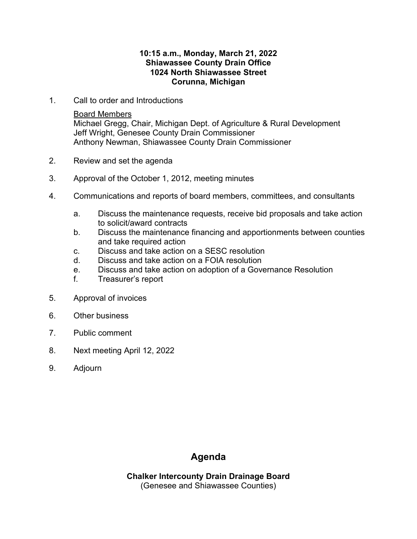#### **10:15 a.m., Monday, March 21, 2022 Shiawassee County Drain Office 1024 North Shiawassee Street Corunna, Michigan**

1. Call to order and Introductions

Board Members

Michael Gregg, Chair, Michigan Dept. of Agriculture & Rural Development Jeff Wright, Genesee County Drain Commissioner Anthony Newman, Shiawassee County Drain Commissioner

- 2. Review and set the agenda
- 3. Approval of the October 1, 2012, meeting minutes
- 4. Communications and reports of board members, committees, and consultants
	- a. Discuss the maintenance requests, receive bid proposals and take action to solicit/award contracts
	- b. Discuss the maintenance financing and apportionments between counties and take required action
	- c. Discuss and take action on a SESC resolution
	- d. Discuss and take action on a FOIA resolution
	- e. Discuss and take action on adoption of a Governance Resolution
	- f. Treasurer's report
- 5. Approval of invoices
- 6. Other business
- 7. Public comment
- 8. Next meeting April 12, 2022
- 9. Adjourn

### **Agenda**

**Chalker Intercounty Drain Drainage Board** (Genesee and Shiawassee Counties)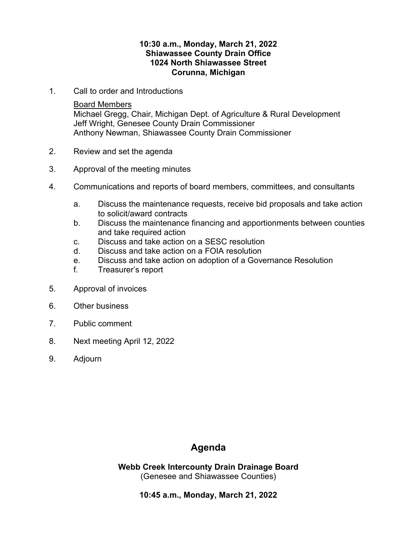#### **10:30 a.m., Monday, March 21, 2022 Shiawassee County Drain Office 1024 North Shiawassee Street Corunna, Michigan**

1. Call to order and Introductions

#### Board Members

Michael Gregg, Chair, Michigan Dept. of Agriculture & Rural Development Jeff Wright, Genesee County Drain Commissioner Anthony Newman, Shiawassee County Drain Commissioner

- 2. Review and set the agenda
- 3. Approval of the meeting minutes
- 4. Communications and reports of board members, committees, and consultants
	- a. Discuss the maintenance requests, receive bid proposals and take action to solicit/award contracts
	- b. Discuss the maintenance financing and apportionments between counties and take required action
	- c. Discuss and take action on a SESC resolution
	- d. Discuss and take action on a FOIA resolution
	- e. Discuss and take action on adoption of a Governance Resolution
	- f. Treasurer's report
- 5. Approval of invoices
- 6. Other business
- 7. Public comment
- 8. Next meeting April 12, 2022
- 9. Adjourn

### **Agenda**

**Webb Creek Intercounty Drain Drainage Board** (Genesee and Shiawassee Counties)

**10:45 a.m., Monday, March 21, 2022**